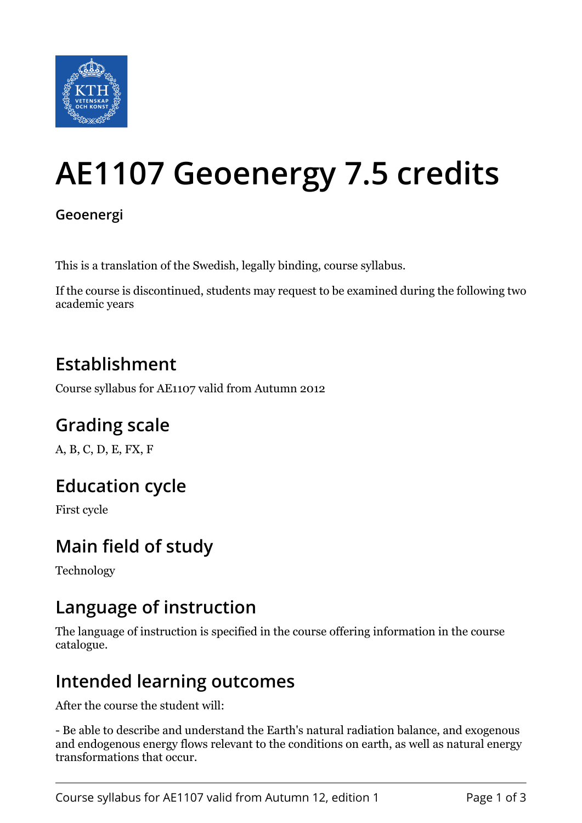

# **AE1107 Geoenergy 7.5 credits**

#### **Geoenergi**

This is a translation of the Swedish, legally binding, course syllabus.

If the course is discontinued, students may request to be examined during the following two academic years

#### **Establishment**

Course syllabus for AE1107 valid from Autumn 2012

## **Grading scale**

A, B, C, D, E, FX, F

## **Education cycle**

First cycle

## **Main field of study**

Technology

#### **Language of instruction**

The language of instruction is specified in the course offering information in the course catalogue.

## **Intended learning outcomes**

After the course the student will:

- Be able to describe and understand the Earth's natural radiation balance, and exogenous and endogenous energy flows relevant to the conditions on earth, as well as natural energy transformations that occur.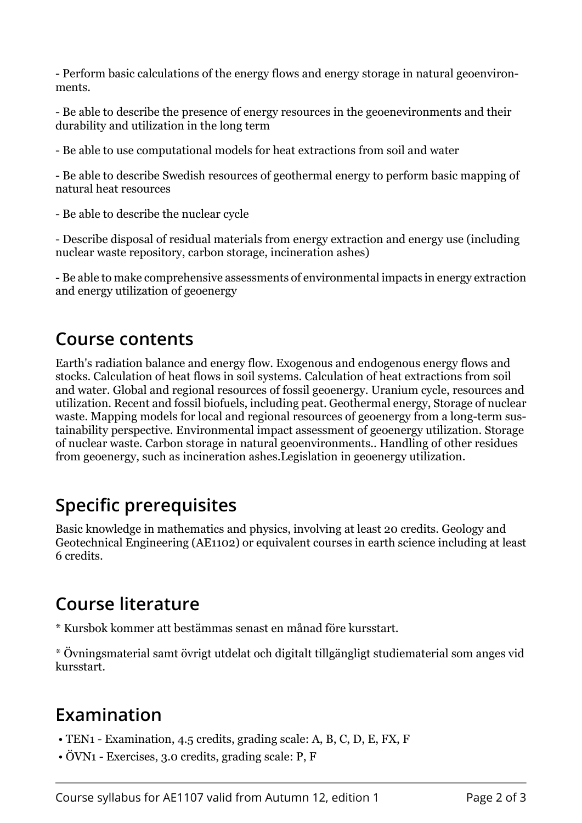- Perform basic calculations of the energy flows and energy storage in natural geoenvironments.

- Be able to describe the presence of energy resources in the geoenevironments and their durability and utilization in the long term

- Be able to use computational models for heat extractions from soil and water

- Be able to describe Swedish resources of geothermal energy to perform basic mapping of natural heat resources

- Be able to describe the nuclear cycle

- Describe disposal of residual materials from energy extraction and energy use (including nuclear waste repository, carbon storage, incineration ashes)

- Be able to make comprehensive assessments of environmental impacts in energy extraction and energy utilization of geoenergy

#### **Course contents**

Earth's radiation balance and energy flow. Exogenous and endogenous energy flows and stocks. Calculation of heat flows in soil systems. Calculation of heat extractions from soil and water. Global and regional resources of fossil geoenergy. Uranium cycle, resources and utilization. Recent and fossil biofuels, including peat. Geothermal energy, Storage of nuclear waste. Mapping models for local and regional resources of geoenergy from a long-term sustainability perspective. Environmental impact assessment of geoenergy utilization. Storage of nuclear waste. Carbon storage in natural geoenvironments.. Handling of other residues from geoenergy, such as incineration ashes.Legislation in geoenergy utilization.

#### **Specific prerequisites**

Basic knowledge in mathematics and physics, involving at least 20 credits. Geology and Geotechnical Engineering (AE1102) or equivalent courses in earth science including at least 6 credits.

## **Course literature**

\* Kursbok kommer att bestämmas senast en månad före kursstart.

\* Övningsmaterial samt övrigt utdelat och digitalt tillgängligt studiematerial som anges vid kursstart.

# **Examination**

- TEN1 Examination, 4.5 credits, grading scale: A, B, C, D, E, FX, F
- ÖVN1 Exercises, 3.0 credits, grading scale: P, F